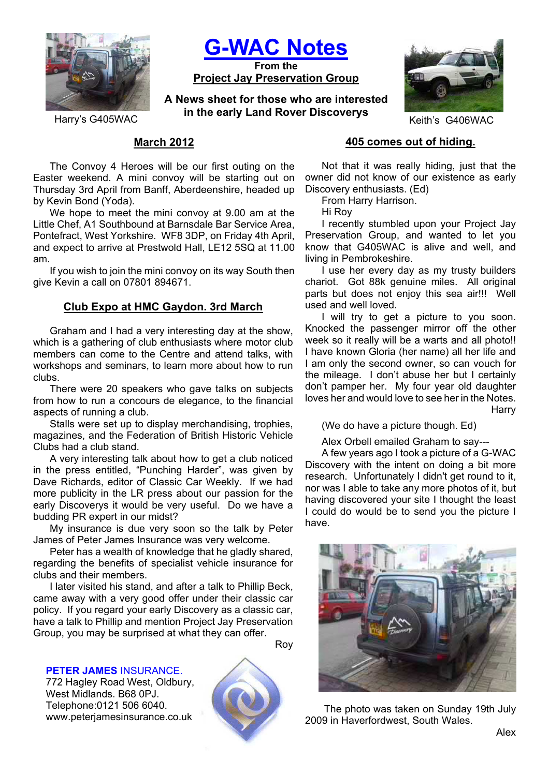

**G-WAC Notes**

**From the Project Jay Preservation Group**

**A News sheet for those who are interested in the early Land Rover Discoverys**<br>Keith's G406WAC



# **March 2012**

The Convoy 4 Heroes will be our first outing on the Easter weekend. A mini convoy will be starting out on Thursday 3rd April from Banff, Aberdeenshire, headed up by Kevin Bond (Yoda).

We hope to meet the mini convoy at 9.00 am at the Little Chef, A1 Southbound at Barnsdale Bar Service Area, Pontefract, West Yorkshire. WF8 3DP, on Friday 4th April, and expect to arrive at Prestwold Hall, LE12 5SQ at 11.00 am.

If you wish to join the mini convoy on its way South then give Kevin a call on 07801 894671.

# **Club Expo at HMC Gaydon. 3rd March**

Graham and I had a very interesting day at the show, which is a gathering of club enthusiasts where motor club members can come to the Centre and attend talks, with workshops and seminars, to learn more about how to run clubs.

There were 20 speakers who gave talks on subjects from how to run a concours de elegance, to the financial aspects of running a club.

Stalls were set up to display merchandising, trophies, magazines, and the Federation of British Historic Vehicle Clubs had a club stand.

A very interesting talk about how to get a club noticed in the press entitled, "Punching Harder", was given by Dave Richards, editor of Classic Car Weekly. If we had more publicity in the LR press about our passion for the early Discoverys it would be very useful. Do we have a budding PR expert in our midst?

My insurance is due very soon so the talk by Peter James of Peter James Insurance was very welcome.

Peter has a wealth of knowledge that he gladly shared, regarding the benefits of specialist vehicle insurance for clubs and their members.

I later visited his stand, and after a talk to Phillip Beck, came away with a very good offer under their classic car policy. If you regard your early Discovery as a classic car, have a talk to Phillip and mention Project Jay Preservation Group, you may be surprised at what they can offer.

**PETER JAMES** INSURANCE.

772 Hagley Road West, Oldbury, West Midlands. B68 0PJ. Telephone:0121 506 6040. www.peterjamesinsurance.co.uk



Roy

## **405 comes out of hiding.**

Not that it was really hiding, just that the owner did not know of our existence as early Discovery enthusiasts. (Ed)

From Harry Harrison.

Hi Roy

I recently stumbled upon your Project Jay Preservation Group, and wanted to let you know that G405WAC is alive and well, and living in Pembrokeshire.

I use her every day as my trusty builders chariot. Got 88k genuine miles. All original parts but does not enjoy this sea air!!! Well used and well loved.

I will try to get a picture to you soon. Knocked the passenger mirror off the other week so it really will be a warts and all photo!! I have known Gloria (her name) all her life and I am only the second owner, so can vouch for the mileage. I don't abuse her but I certainly don't pamper her. My four year old daughter loves her and would love to see her in the Notes. **Harry** 

(We do have a picture though. Ed)

Alex Orbell emailed Graham to say---

A few years ago I took a picture of a G-WAC Discovery with the intent on doing a bit more research. Unfortunately I didn't get round to it, nor was I able to take any more photos of it, but having discovered your site I thought the least I could do would be to send you the picture I have.



 The photo was taken on Sunday 19th July 2009 in Haverfordwest, South Wales.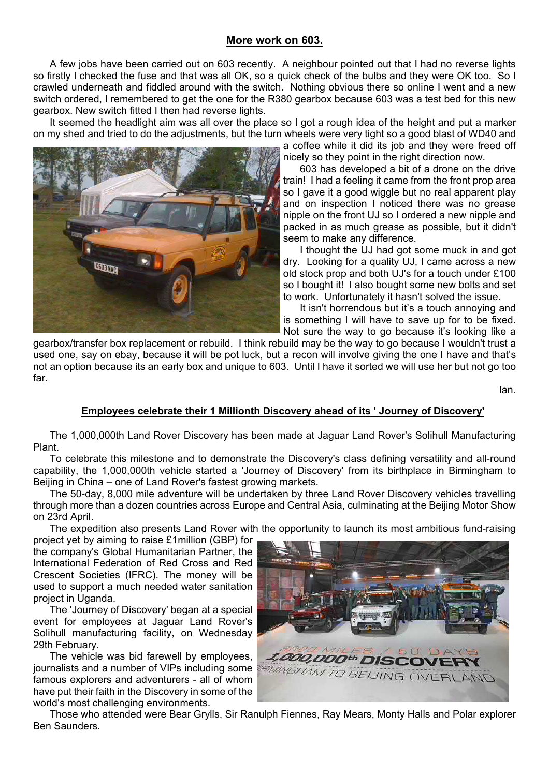# **More work on 603.**

A few jobs have been carried out on 603 recently. A neighbour pointed out that I had no reverse lights so firstly I checked the fuse and that was all OK, so a quick check of the bulbs and they were OK too. So I crawled underneath and fiddled around with the switch. Nothing obvious there so online I went and a new switch ordered, I remembered to get the one for the R380 gearbox because 603 was a test bed for this new gearbox. New switch fitted I then had reverse lights.

It seemed the headlight aim was all over the place so I got a rough idea of the height and put a marker on my shed and tried to do the adjustments, but the turn wheels were very tight so a good blast of WD40 and



a coffee while it did its job and they were freed off nicely so they point in the right direction now.

603 has developed a bit of a drone on the drive train! I had a feeling it came from the front prop area so I gave it a good wiggle but no real apparent play and on inspection I noticed there was no grease nipple on the front UJ so I ordered a new nipple and packed in as much grease as possible, but it didn't seem to make any difference.

I thought the UJ had got some muck in and got dry. Looking for a quality UJ, I came across a new old stock prop and both UJ's for a touch under £100 so I bought it! I also bought some new bolts and set to work. Unfortunately it hasn't solved the issue.

It isn't horrendous but it's a touch annoying and is something I will have to save up for to be fixed. Not sure the way to go because it's looking like a

gearbox/transfer box replacement or rebuild. I think rebuild may be the way to go because I wouldn't trust a used one, say on ebay, because it will be pot luck, but a recon will involve giving the one I have and that's not an option because its an early box and unique to 603. Until I have it sorted we will use her but not go too far.

Ian.

## **Employees celebrate their 1 Millionth Discovery ahead of its ' Journey of Discovery'**

The 1,000,000th Land Rover Discovery has been made at Jaguar Land Rover's Solihull Manufacturing Plant.

To celebrate this milestone and to demonstrate the Discovery's class defining versatility and all-round capability, the 1,000,000th vehicle started a 'Journey of Discovery' from its birthplace in Birmingham to Beijing in China – one of Land Rover's fastest growing markets.

The 50-day, 8,000 mile adventure will be undertaken by three Land Rover Discovery vehicles travelling through more than a dozen countries across Europe and Central Asia, culminating at the Beijing Motor Show on 23rd April.

The expedition also presents Land Rover with the opportunity to launch its most ambitious fund-raising

project yet by aiming to raise £1million (GBP) for the company's Global Humanitarian Partner, the International Federation of Red Cross and Red Crescent Societies (IFRC). The money will be used to support a much needed water sanitation project in Uganda.

The 'Journey of Discovery' began at a special event for employees at Jaguar Land Rover's Solihull manufacturing facility, on Wednesday 29th February.

The vehicle was bid farewell by employees, journalists and a number of VIPs including some famous explorers and adventurers - all of whom have put their faith in the Discovery in some of the world's most challenging environments.



Those who attended were Bear Grylls, Sir Ranulph Fiennes, Ray Mears, Monty Halls and Polar explorer Ben Saunders.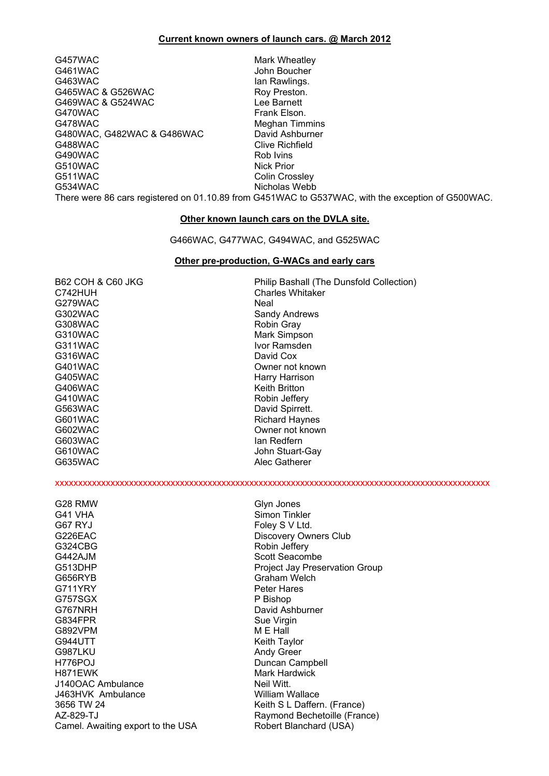#### **Current known owners of launch cars. @ March 2012**

G457WAC Mark Wheatley G461WAC John Boucher G463WAC **Ian Rawlings.** G465WAC & G526WAC Roy Preston. G469WAC & G524WAC **Lee Barnett** G470WAC Frank Elson. G478WAC Meghan Timmins G480WAC, G482WAC & G486WAC David Ashburner G488WAC Clive Richfield G490WAC Rob Ivins<br>
G510WAC Rob Ivins Rob Ivins Rob Ivins Rob Ivins Rick Prior G510WAC<br>G511WAC G511WAC Colin Crossley

Nicholas Webb

There were 86 cars registered on 01.10.89 from G451WAC to G537WAC, with the exception of G500WAC.

#### **Other known launch cars on the DVLA site.**

G466WAC, G477WAC, G494WAC, and G525WAC

#### **Other pre-production, G-WACs and early cars**

| <b>B62 COH &amp; C60 JKG</b> | Philip Bashall (The Dunsfold Collection) |
|------------------------------|------------------------------------------|
| C742HUH                      | <b>Charles Whitaker</b>                  |
| G279WAC                      | Neal                                     |
| G302WAC                      | Sandy Andrews                            |
| G308WAC                      | Robin Gray                               |
| G310WAC                      | Mark Simpson                             |
| G311WAC                      | Ivor Ramsden                             |
| G316WAC                      | David Cox                                |
| G401WAC                      | Owner not known                          |
| G405WAC                      | Harry Harrison                           |
| G406WAC                      | <b>Keith Britton</b>                     |
| G410WAC                      | Robin Jeffery                            |
| G563WAC                      | David Spirrett.                          |
| G601WAC                      | <b>Richard Haynes</b>                    |
| G602WAC                      | Owner not known                          |
| G603WAC                      | lan Redfern                              |
| G610WAC                      | John Stuart-Gay                          |
| G635WAC                      | Alec Gatherer                            |
|                              |                                          |
| G28 RMW                      | Glyn Jones                               |
| G41 VHA                      | Simon Tinkler                            |
| G67 RYJ                      | Foley S V Ltd.                           |
| G226EAC                      | <b>Discovery Owners Club</b>             |
| G324CBG                      | Robin Jeffery                            |
| G442AJM                      | Scott Seacombe                           |
| G513DHP                      | Project Jay Preservation Group           |
| G656RYB                      | Graham Welch                             |
| G711YRY                      | <b>Peter Hares</b>                       |
| G757SGX                      | P Bishop                                 |
| G767NRH                      | David Ashburner                          |
| G834FPR                      | Sue Virgin                               |
| G892VPM                      | M E Hall                                 |

G944UTT **Keith Taylor** Keith Taylor G987LKU Andy Green H776POJ Duncan Campbell J140OAC Ambulance J463HVK Ambulance William Wallace AZ-829-TJ Raymond Bechetoille (France) Camel. Awaiting export to the USA Robert Blanchard (USA)

Mark Hardwick<br>Neil Witt Keith S L Daffern. (France)